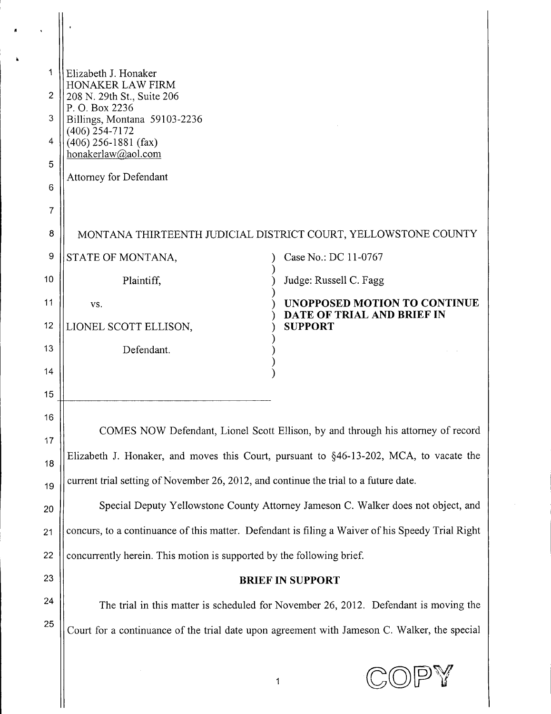| 1<br>$\overline{2}$<br>3<br>4<br>5<br>6 | Elizabeth J. Honaker<br>HONAKER LAW FIRM<br>208 N. 29th St., Suite 206<br>P.O. Box 2236<br>Billings, Montana 59103-2236<br>$(406)$ 254-7172<br>$(406)$ 256-1881 (fax)<br>honakerlaw@aol.com<br>Attorney for Defendant |  |                                                                   |  |
|-----------------------------------------|-----------------------------------------------------------------------------------------------------------------------------------------------------------------------------------------------------------------------|--|-------------------------------------------------------------------|--|
| 7                                       |                                                                                                                                                                                                                       |  |                                                                   |  |
| 8                                       | MONTANA THIRTEENTH JUDICIAL DISTRICT COURT, YELLOWSTONE COUNTY                                                                                                                                                        |  |                                                                   |  |
| 9                                       | STATE OF MONTANA,                                                                                                                                                                                                     |  | Case No.: DC 11-0767                                              |  |
| 10                                      | Plaintiff,                                                                                                                                                                                                            |  | Judge: Russell C. Fagg                                            |  |
| 11                                      | VS.                                                                                                                                                                                                                   |  | <b>UNOPPOSED MOTION TO CONTINUE</b><br>DATE OF TRIAL AND BRIEF IN |  |
| 12                                      | LIONEL SCOTT ELLISON,                                                                                                                                                                                                 |  | <b>SUPPORT</b>                                                    |  |
| 13                                      | Defendant.                                                                                                                                                                                                            |  |                                                                   |  |
| 14                                      |                                                                                                                                                                                                                       |  |                                                                   |  |
| 15                                      |                                                                                                                                                                                                                       |  |                                                                   |  |
| 16                                      | COMES NOW Defendant, Lionel Scott Ellison, by and through his attorney of record                                                                                                                                      |  |                                                                   |  |
| 17                                      | Elizabeth J. Honaker, and moves this Court, pursuant to §46-13-202, MCA, to vacate the                                                                                                                                |  |                                                                   |  |
| 18<br>19                                | current trial setting of November 26, 2012, and continue the trial to a future date.                                                                                                                                  |  |                                                                   |  |
| 20                                      | Special Deputy Yellowstone County Attorney Jameson C. Walker does not object, and                                                                                                                                     |  |                                                                   |  |
| 21                                      | concurs, to a continuance of this matter. Defendant is filing a Waiver of his Speedy Trial Right                                                                                                                      |  |                                                                   |  |
| 22                                      |                                                                                                                                                                                                                       |  |                                                                   |  |
| 23                                      | concurrently herein. This motion is supported by the following brief.                                                                                                                                                 |  |                                                                   |  |
| 24                                      | <b>BRIEF IN SUPPORT</b>                                                                                                                                                                                               |  |                                                                   |  |
| 25                                      | The trial in this matter is scheduled for November 26, 2012. Defendant is moving the                                                                                                                                  |  |                                                                   |  |
|                                         | Court for a continuance of the trial date upon agreement with Jameson C. Walker, the special                                                                                                                          |  |                                                                   |  |
|                                         |                                                                                                                                                                                                                       |  |                                                                   |  |

 $\mathbf{r}$ 

 $\ddot{\phantom{a}}$ 

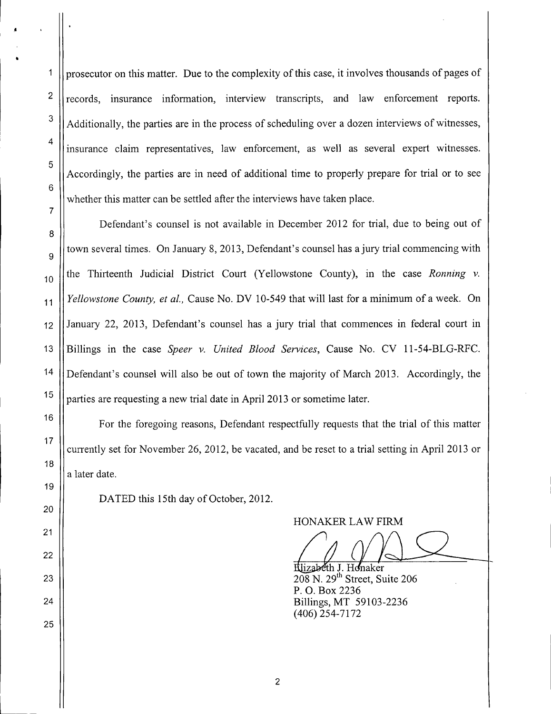prosecutor on this matter. Due to the complexity of this case, it involves thousands of pages of records, insurance information, interview transcripts, and law enforcement reports. Additionally, the parties are in the process of scheduling over a dozen interviews of witnesses, insurance claim representatives, law enforcement, as well as several expert witnesses. Accordingly, the parties are in need of additional time to properly prepare for trial or to see whether this matter can be settled after the interviews have taken place.

Defendant's counsel is not available in December 2012 for trial, due to being out of town several times. On January 8, 2013, Defendant's counsel has a jury trial commencing with the Thirteenth Judicial District Court (Yellowstone County), in the case *Ronning* v. *Yellowstone County, et aI.,* Cause No. DV 10-549 that will last for a minimum of a week. On January 22, 2013, Defendant's counsel has a jury trial that commences in federal court in Billings in the case *Speer* v. *United Blood Services,* Cause No. CV 11-54-BLG-RFC. Defendant's counsel will also be out of town the majority of March 2013. Accordingly, the parties are requesting a new trial date in April 2013 or sometime later.

For the foregoing reasons, Defendant respectfully requests that the trial of this matter currently set for November 26,2012, be vacated, and be reset to a trial setting in April 2013 or a later date.

DATED this 15th day of October, 2012.

HONAKER LAW FIRM

Hlizabeth J. Honaker 208 N. 29<sup>th</sup> Street, Suite 206 P. O. Box 2236 Billings, MT 59103-2236 (406) 254- 7172

1